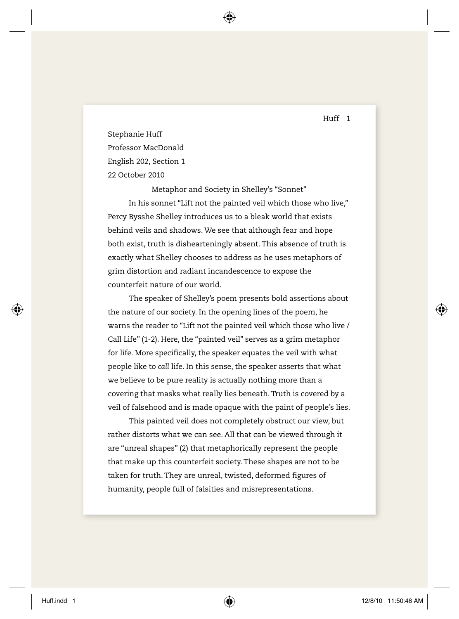Huff 1

Stephanie Huff Professor MacDonald English 202, Section 1 22 October 2010

Metaphor and Society in Shelley's "Sonnet" In his sonnet "Lift not the painted veil which those who live," Percy Bysshe Shelley introduces us to a bleak world that exists behind veils and shadows. We see that although fear and hope both exist, truth is dishearteningly absent. This absence of truth is exactly what Shelley chooses to address as he uses metaphors of grim distortion and radiant incandescence to expose the counterfeit nature of our world.

The speaker of Shelley's poem presents bold assertions about the nature of our society. In the opening lines of the poem, he warns the reader to "Lift not the painted veil which those who live / Call Life" (1-2). Here, the "painted veil" serves as a grim metaphor for life. More specifically, the speaker equates the veil with what people like to *call* life. In this sense, the speaker asserts that what we believe to be pure reality is actually nothing more than a covering that masks what really lies beneath. Truth is covered by a veil of falsehood and is made opaque with the paint of people's lies.

This painted veil does not completely obstruct our view, but rather distorts what we can see. All that can be viewed through it are "unreal shapes" (2) that metaphorically represent the people that make up this counterfeit society. These shapes are not to be taken for truth. They are unreal, twisted, deformed figures of humanity, people full of falsities and misrepresentations.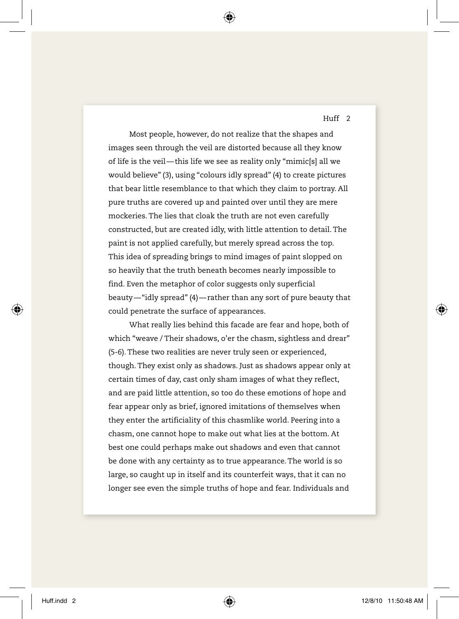Huff 2

Most people, however, do not realize that the shapes and images seen through the veil are distorted because all they know of life is the veil—this life we see as reality only "mimic[s] all we would believe" (3), using "colours idly spread" (4) to create pictures that bear little resemblance to that which they claim to portray. All pure truths are covered up and painted over until they are mere mockeries. The lies that cloak the truth are not even carefully constructed, but are created idly, with little attention to detail. The paint is not applied carefully, but merely spread across the top. This idea of spreading brings to mind images of paint slopped on so heavily that the truth beneath becomes nearly impossible to find. Even the metaphor of color suggests only superficial beauty—"idly spread" (4)—rather than any sort of pure beauty that could penetrate the surface of appearances.

What really lies behind this facade are fear and hope, both of which "weave / Their shadows, o'er the chasm, sightless and drear" (5-6). These two realities are never truly seen or experienced, though. They exist only as shadows. Just as shadows appear only at certain times of day, cast only sham images of what they reflect, and are paid little attention, so too do these emotions of hope and fear appear only as brief, ignored imitations of themselves when they enter the artificiality of this chasmlike world. Peering into a chasm, one cannot hope to make out what lies at the bottom. At best one could perhaps make out shadows and even that cannot be done with any certainty as to true appearance. The world is so large, so caught up in itself and its counterfeit ways, that it can no longer see even the simple truths of hope and fear. Individuals and